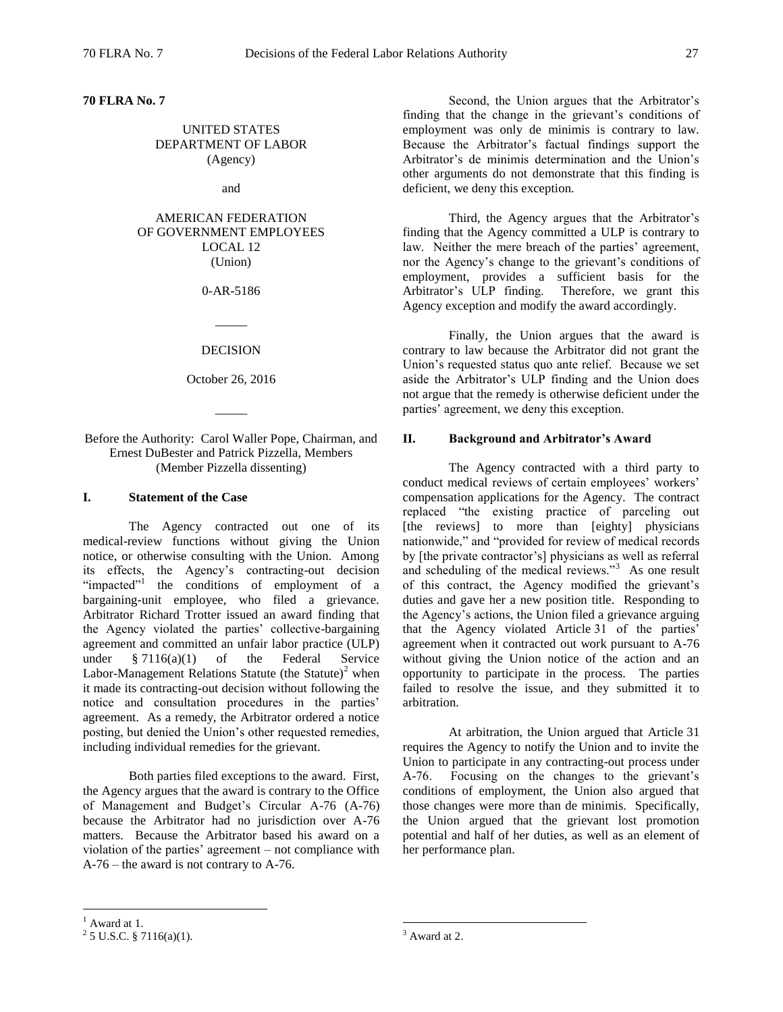**70 FLRA No. 7** 

## UNITED STATES DEPARTMENT OF LABOR (Agency)

and

## AMERICAN FEDERATION OF GOVERNMENT EMPLOYEES LOCAL 12 (Union)

### 0-AR-5186

#### DECISION

 $\overline{\phantom{a}}$ 

October 26, 2016

 $\overline{\phantom{a}}$ 

## Before the Authority: Carol Waller Pope, Chairman, and Ernest DuBester and Patrick Pizzella, Members (Member Pizzella dissenting)

#### **I. Statement of the Case**

The Agency contracted out one of its medical-review functions without giving the Union notice, or otherwise consulting with the Union. Among its effects, the Agency's contracting-out decision "impacted"<sup>1</sup> the conditions of employment of a bargaining-unit employee, who filed a grievance. Arbitrator Richard Trotter issued an award finding that the Agency violated the parties' collective-bargaining agreement and committed an unfair labor practice (ULP) under § 7116(a)(1) of the Federal Service Labor-Management Relations Statute (the Statute)<sup>2</sup> when it made its contracting-out decision without following the notice and consultation procedures in the parties' agreement. As a remedy, the Arbitrator ordered a notice posting, but denied the Union's other requested remedies, including individual remedies for the grievant.

Both parties filed exceptions to the award. First, the Agency argues that the award is contrary to the Office of Management and Budget's Circular A-76 (A-76) because the Arbitrator had no jurisdiction over A-76 matters. Because the Arbitrator based his award on a violation of the parties' agreement – not compliance with A-76 – the award is not contrary to A-76.

Second, the Union argues that the Arbitrator's finding that the change in the grievant's conditions of employment was only de minimis is contrary to law. Because the Arbitrator's factual findings support the Arbitrator's de minimis determination and the Union's other arguments do not demonstrate that this finding is deficient, we deny this exception.

Third, the Agency argues that the Arbitrator's finding that the Agency committed a ULP is contrary to law. Neither the mere breach of the parties' agreement, nor the Agency's change to the grievant's conditions of employment, provides a sufficient basis for the Arbitrator's ULP finding. Therefore, we grant this Agency exception and modify the award accordingly.

Finally, the Union argues that the award is contrary to law because the Arbitrator did not grant the Union's requested status quo ante relief. Because we set aside the Arbitrator's ULP finding and the Union does not argue that the remedy is otherwise deficient under the parties' agreement, we deny this exception.

### **II. Background and Arbitrator's Award**

The Agency contracted with a third party to conduct medical reviews of certain employees' workers' compensation applications for the Agency. The contract replaced "the existing practice of parceling out [the reviews] to more than [eighty] physicians nationwide," and "provided for review of medical records by [the private contractor's] physicians as well as referral and scheduling of the medical reviews."<sup>3</sup> As one result of this contract, the Agency modified the grievant's duties and gave her a new position title. Responding to the Agency's actions, the Union filed a grievance arguing that the Agency violated Article 31 of the parties' agreement when it contracted out work pursuant to A-76 without giving the Union notice of the action and an opportunity to participate in the process. The parties failed to resolve the issue, and they submitted it to arbitration.

At arbitration, the Union argued that Article 31 requires the Agency to notify the Union and to invite the Union to participate in any contracting-out process under A-76. Focusing on the changes to the grievant's conditions of employment, the Union also argued that those changes were more than de minimis. Specifically, the Union argued that the grievant lost promotion potential and half of her duties, as well as an element of her performance plan.

 $\overline{a}$ 

 $<sup>1</sup>$  Award at 1.</sup>

 $2$  5 U.S.C. § 7116(a)(1).

 $3$  Award at 2.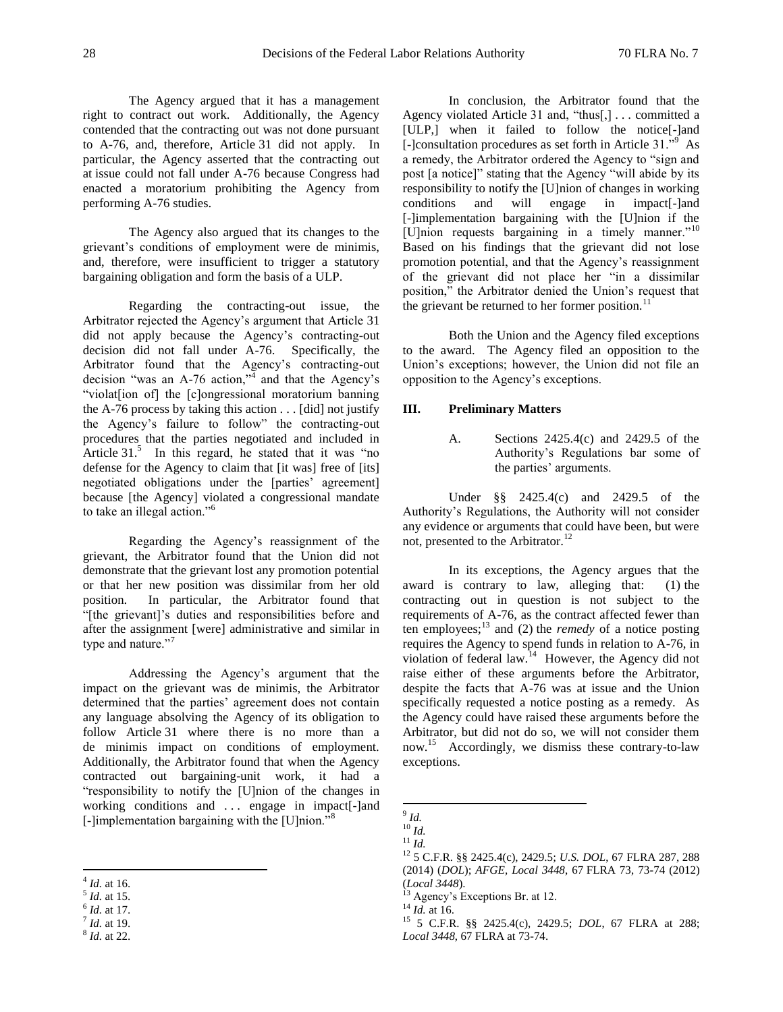The Agency argued that it has a management right to contract out work. Additionally, the Agency contended that the contracting out was not done pursuant to A-76, and, therefore, Article 31 did not apply. In particular, the Agency asserted that the contracting out at issue could not fall under A-76 because Congress had enacted a moratorium prohibiting the Agency from performing A-76 studies.

The Agency also argued that its changes to the grievant's conditions of employment were de minimis, and, therefore, were insufficient to trigger a statutory bargaining obligation and form the basis of a ULP.

Regarding the contracting-out issue, the Arbitrator rejected the Agency's argument that Article 31 did not apply because the Agency's contracting-out decision did not fall under A-76. Specifically, the Arbitrator found that the Agency's contracting-out decision "was an A-76 action,"<sup> $\overline{4}$ </sup> and that the Agency's "violat[ion of] the [c]ongressional moratorium banning the A-76 process by taking this action  $\dots$  [did] not justify the Agency's failure to follow" the contracting-out procedures that the parties negotiated and included in Article  $31<sup>5</sup>$  In this regard, he stated that it was "no defense for the Agency to claim that [it was] free of [its] negotiated obligations under the [parties' agreement] because [the Agency] violated a congressional mandate to take an illegal action."<sup>6</sup>

Regarding the Agency's reassignment of the grievant, the Arbitrator found that the Union did not demonstrate that the grievant lost any promotion potential or that her new position was dissimilar from her old position. In particular, the Arbitrator found that "[the grievant]'s duties and responsibilities before and after the assignment [were] administrative and similar in type and nature."<sup>7</sup>

Addressing the Agency's argument that the impact on the grievant was de minimis, the Arbitrator determined that the parties' agreement does not contain any language absolving the Agency of its obligation to follow Article 31 where there is no more than a de minimis impact on conditions of employment. Additionally, the Arbitrator found that when the Agency contracted out bargaining-unit work, it had a "responsibility to notify the [U]nion of the changes in working conditions and . . . engage in impact[-]and [-]implementation bargaining with the [U]nion."<sup>8</sup>

In conclusion, the Arbitrator found that the Agency violated Article 31 and, "thus[,] . . . committed a [ULP,] when it failed to follow the notice[-]and [-]consultation procedures as set forth in Article 31."<sup>9</sup> As a remedy, the Arbitrator ordered the Agency to "sign and post [a notice]" stating that the Agency "will abide by its responsibility to notify the [U]nion of changes in working conditions and will engage in impact[-]and [-]implementation bargaining with the [U]nion if the [U]nion requests bargaining in a timely manner."<sup>10</sup> Based on his findings that the grievant did not lose promotion potential, and that the Agency's reassignment of the grievant did not place her "in a dissimilar position," the Arbitrator denied the Union's request that the grievant be returned to her former position. $^{11}$ 

Both the Union and the Agency filed exceptions to the award. The Agency filed an opposition to the Union's exceptions; however, the Union did not file an opposition to the Agency's exceptions.

## **III. Preliminary Matters**

A. Sections 2425.4(c) and 2429.5 of the Authority's Regulations bar some of the parties' arguments.

Under §§ 2425.4(c) and 2429.5 of the Authority's Regulations, the Authority will not consider any evidence or arguments that could have been, but were not, presented to the Arbitrator.<sup>12</sup>

In its exceptions, the Agency argues that the award is contrary to law, alleging that: (1) the contracting out in question is not subject to the requirements of A-76, as the contract affected fewer than ten employees; $^{13}$  and (2) the *remedy* of a notice posting requires the Agency to spend funds in relation to A-76, in violation of federal law.<sup>14</sup> However, the Agency did not raise either of these arguments before the Arbitrator, despite the facts that A-76 was at issue and the Union specifically requested a notice posting as a remedy. As the Agency could have raised these arguments before the Arbitrator, but did not do so, we will not consider them now.<sup>15</sup> Accordingly, we dismiss these contrary-to-law exceptions.

 $\overline{a}$ 4 *Id.* at 16.

<sup>5</sup> *Id.* at 15.

<sup>6</sup> *Id.* at 17.

<sup>7</sup> *Id.* at 19.

<sup>8</sup> *Id.* at 22.

 9 *Id.*

<sup>10</sup> *Id.*

<sup>11</sup> *Id.*

<sup>12</sup> 5 C.F.R. §§ 2425.4(c), 2429.5; *U.S. DOL*, 67 FLRA 287, 288 (2014) (*DOL*); *AFGE, Local 3448*, 67 FLRA 73, 73-74 (2012) (*Local 3448*).

<sup>&</sup>lt;sup>13</sup> Agency's Exceptions Br. at 12.

<sup>14</sup> *Id.* at 16.

<sup>15</sup> 5 C.F.R. §§ 2425.4(c), 2429.5; *DOL*, 67 FLRA at 288; *Local 3448*, 67 FLRA at 73-74.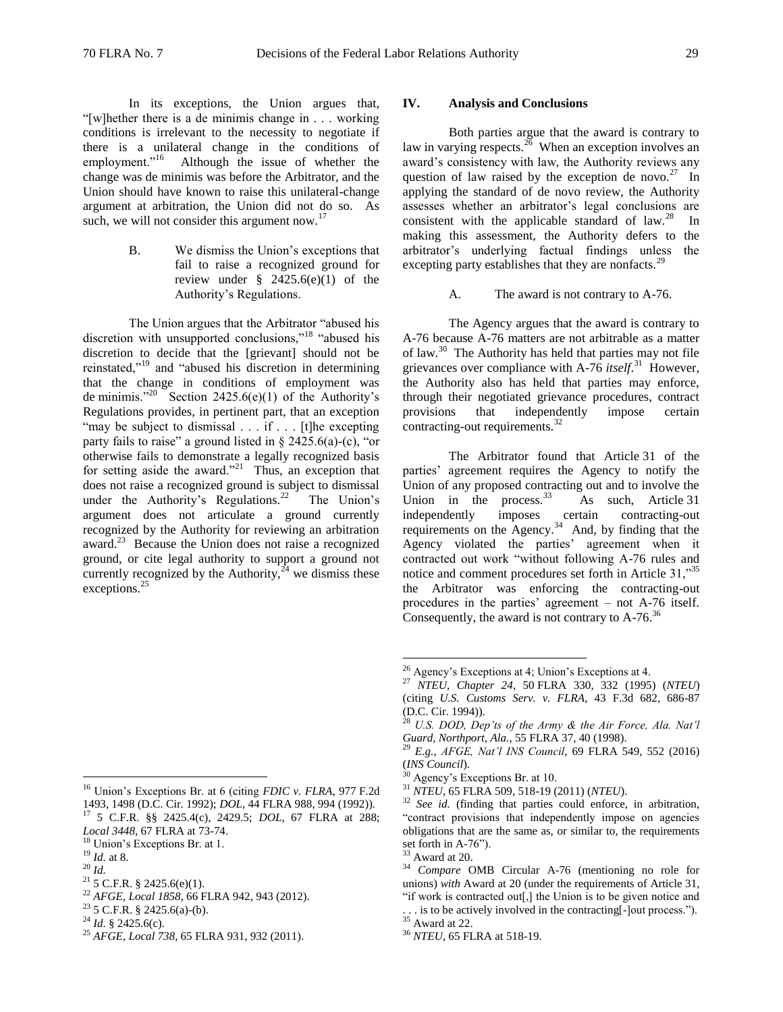In its exceptions, the Union argues that, "[w]hether there is a de minimis change in . . . working conditions is irrelevant to the necessity to negotiate if there is a unilateral change in the conditions of employment."<sup>16</sup> Although the issue of whether the change was de minimis was before the Arbitrator, and the Union should have known to raise this unilateral-change argument at arbitration, the Union did not do so. As such, we will not consider this argument now. $17$ 

> B. We dismiss the Union's exceptions that fail to raise a recognized ground for review under  $\frac{8}{9}$  2425.6(e)(1) of the Authority's Regulations.

The Union argues that the Arbitrator "abused his discretion with unsupported conclusions,"<sup>18</sup> "abused his discretion to decide that the [grievant] should not be reinstated,"<sup>19</sup> and "abused his discretion in determining that the change in conditions of employment was de minimis."<sup>20</sup> Section 2425.6(e)(1) of the Authority's Regulations provides, in pertinent part, that an exception "may be subject to dismissal . . . if . . . [t]he excepting party fails to raise" a ground listed in  $\S$  2425.6(a)-(c), "or otherwise fails to demonstrate a legally recognized basis for setting aside the award."<sup>21</sup> Thus, an exception that does not raise a recognized ground is subject to dismissal under the Authority's Regulations.<sup>22</sup> The Union's argument does not articulate a ground currently recognized by the Authority for reviewing an arbitration award.<sup>23</sup> Because the Union does not raise a recognized ground, or cite legal authority to support a ground not currently recognized by the Authority, $^{24}$  we dismiss these exceptions.<sup>25</sup>

<sup>16</sup> Union's Exceptions Br. at 6 (citing *FDIC v. FLRA*, 977 F.2d 1493, 1498 (D.C. Cir. 1992); *DOL*, 44 FLRA 988, 994 (1992)). <sup>17</sup> 5 C.F.R. §§ 2425.4(c), 2429.5; *DOL*, 67 FLRA at 288;

<sup>19</sup> *Id.* at 8.

 $\overline{a}$ 

<sup>20</sup> *Id.*

- <sup>22</sup> *AFGE, Local 1858*, 66 FLRA 942, 943 (2012).
- $23\overline{5}$  C.F.R. § 2425.6(a)-(b).

#### **IV. Analysis and Conclusions**

Both parties argue that the award is contrary to law in varying respects. $^{26}$  When an exception involves an award's consistency with law, the Authority reviews any question of law raised by the exception de novo.<sup>27</sup> In applying the standard of de novo review, the Authority assesses whether an arbitrator's legal conclusions are consistent with the applicable standard of  $law<sup>28</sup>$ . In making this assessment, the Authority defers to the arbitrator's underlying factual findings unless the excepting party establishes that they are nonfacts.<sup>29</sup>

## A. The award is not contrary to A-76.

The Agency argues that the award is contrary to A-76 because A-76 matters are not arbitrable as a matter of law.<sup>30</sup> The Authority has held that parties may not file grievances over compliance with A-76 *itself*. <sup>31</sup> However, the Authority also has held that parties may enforce, through their negotiated grievance procedures, contract provisions that independently impose certain contracting-out requirements.<sup>32</sup>

The Arbitrator found that Article 31 of the parties' agreement requires the Agency to notify the Union of any proposed contracting out and to involve the Union in the process.  $33$  As such, Article 31 independently imposes certain contracting-out requirements on the Agency.<sup>34</sup> And, by finding that the Agency violated the parties' agreement when it contracted out work "without following A-76 rules and notice and comment procedures set forth in Article 31,"<sup>35</sup> the Arbitrator was enforcing the contracting-out procedures in the parties' agreement – not A-76 itself. Consequently, the award is not contrary to  $A-76$ <sup>36</sup>

*Local 3448*, 67 FLRA at 73-74.

 $18 \text{ Union's Exceptions Br. at } 1.$ 

 $21$  5 C.F.R. § 2425.6(e)(1).

 $^{24}$  *Id.* § 2425.6(c).

<sup>25</sup> *AFGE, Local 738*, 65 FLRA 931, 932 (2011).

<sup>26</sup> Agency's Exceptions at 4; Union's Exceptions at 4.

<sup>27</sup> *NTEU, Chapter 24*, 50 FLRA 330, 332 (1995) (*NTEU*) (citing *U.S. Customs Serv. v. FLRA*, 43 F.3d 682, 686-87 (D.C. Cir. 1994)).

<sup>28</sup> *U.S. DOD, Dep'ts of the Army & the Air Force, Ala. Nat'l Guard, Northport, Ala.*, 55 FLRA 37, 40 (1998).

<sup>29</sup> *E.g.*, *AFGE, Nat'l INS Council*, 69 FLRA 549, 552 (2016) (*INS Council*).

Agency's Exceptions Br. at 10.

<sup>31</sup> *NTEU*, 65 FLRA 509, 518-19 (2011) (*NTEU*).

<sup>32</sup> *See id.* (finding that parties could enforce, in arbitration, "contract provisions that independently impose on agencies obligations that are the same as, or similar to, the requirements set forth in A-76").

Award at 20.

<sup>34</sup> *Compare* OMB Circular A-76 (mentioning no role for unions) *with* Award at 20 (under the requirements of Article 31, "if work is contracted out[,] the Union is to be given notice and

<sup>.</sup> . . is to be actively involved in the contracting[-]out process.").  $35$  Award at 22.

<sup>36</sup> *NTEU*, 65 FLRA at 518-19.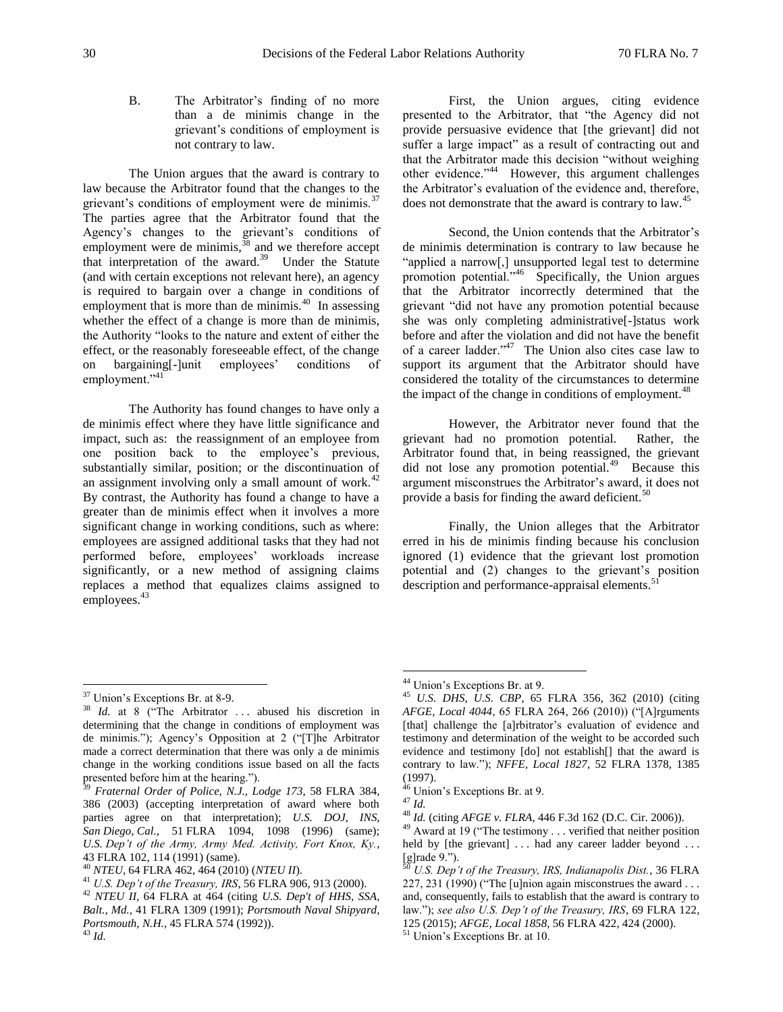B. The Arbitrator's finding of no more than a de minimis change in the grievant's conditions of employment is not contrary to law.

The Union argues that the award is contrary to law because the Arbitrator found that the changes to the grievant's conditions of employment were de minimis.<sup>3</sup> The parties agree that the Arbitrator found that the Agency's changes to the grievant's conditions of employment were de minimis,  $38$  and we therefore accept that interpretation of the award.<sup>39</sup> Under the Statute (and with certain exceptions not relevant here), an agency is required to bargain over a change in conditions of employment that is more than de minimis.<sup>40</sup> In assessing whether the effect of a change is more than de minimis, the Authority "looks to the nature and extent of either the effect, or the reasonably foreseeable effect, of the change on bargaining[-]unit employees' conditions of employment."<sup>41</sup>

The Authority has found changes to have only a de minimis effect where they have little significance and impact, such as: the reassignment of an employee from one position back to the employee's previous, substantially similar, position; or the discontinuation of an assignment involving only a small amount of work. $42$ By contrast, the Authority has found a change to have a greater than de minimis effect when it involves a more significant change in working conditions, such as where: employees are assigned additional tasks that they had not performed before, employees' workloads increase significantly, or a new method of assigning claims replaces a method that equalizes claims assigned to employees.<sup>43</sup>

First, the Union argues, citing evidence presented to the Arbitrator, that "the Agency did not provide persuasive evidence that [the grievant] did not suffer a large impact" as a result of contracting out and that the Arbitrator made this decision "without weighing other evidence."<sup>44</sup> However, this argument challenges the Arbitrator's evaluation of the evidence and, therefore, does not demonstrate that the award is contrary to law.<sup>45</sup>

Second, the Union contends that the Arbitrator's de minimis determination is contrary to law because he "applied a narrow[,] unsupported legal test to determine promotion potential."<sup>46</sup> Specifically, the Union argues that the Arbitrator incorrectly determined that the grievant "did not have any promotion potential because she was only completing administrative[-]status work before and after the violation and did not have the benefit of a career ladder."<sup>47</sup> The Union also cites case law to support its argument that the Arbitrator should have considered the totality of the circumstances to determine the impact of the change in conditions of employment.<sup>48</sup>

However, the Arbitrator never found that the grievant had no promotion potential. Rather, the Arbitrator found that, in being reassigned, the grievant did not lose any promotion potential.<sup>49</sup> Because this argument misconstrues the Arbitrator's award, it does not provide a basis for finding the award deficient.<sup>50</sup>

Finally, the Union alleges that the Arbitrator erred in his de minimis finding because his conclusion ignored (1) evidence that the grievant lost promotion potential and (2) changes to the grievant's position description and performance-appraisal elements.<sup>5</sup>

 $\overline{a}$ 

<sup>&</sup>lt;sup>37</sup> Union's Exceptions Br. at 8-9.

<sup>&</sup>lt;sup>38</sup> *Id.* at 8 ("The Arbitrator ... abused his discretion in determining that the change in conditions of employment was de minimis."); Agency's Opposition at 2 ("[T]he Arbitrator made a correct determination that there was only a de minimis change in the working conditions issue based on all the facts presented before him at the hearing.").

<sup>39</sup> *Fraternal Order of Police, N.J., Lodge 173*, 58 FLRA 384, 386 (2003) (accepting interpretation of award where both parties agree on that interpretation); *U.S. DOJ, INS, San Diego, Cal.*, 51 FLRA 1094, 1098 (1996) (same); *U.S. Dep't of the Army, Army Med. Activity, Fort Knox, Ky.*, 43 FLRA 102, 114 (1991) (same).

<sup>40</sup> *NTEU*, 64 FLRA 462, 464 (2010) (*NTEU II*).

<sup>41</sup> *U.S. Dep't of the Treasury, IRS*, 56 FLRA 906, 913 (2000).

<sup>42</sup> *NTEU II*, 64 FLRA at 464 (citing *U.S. Dep't of HHS, SSA, Balt., Md.*, 41 FLRA 1309 (1991); *Portsmouth Naval Shipyard, Portsmouth, N.H.*, 45 FLRA 574 (1992)).

<sup>44</sup> Union's Exceptions Br. at 9.

<sup>45</sup> *U.S. DHS, U.S. CBP*, 65 FLRA 356, 362 (2010) (citing *AFGE, Local 4044*, 65 FLRA 264, 266 (2010)) ("[A]rguments [that] challenge the [a]rbitrator's evaluation of evidence and testimony and determination of the weight to be accorded such evidence and testimony [do] not establish[] that the award is contrary to law."); *NFFE, Local 1827*, 52 FLRA 1378, 1385 (1997).

<sup>&</sup>lt;sup>46</sup> Union's Exceptions Br. at 9.

<sup>47</sup> *Id.*

<sup>48</sup> *Id.* (citing *AFGE v. FLRA*, 446 F.3d 162 (D.C. Cir. 2006)).

<sup>&</sup>lt;sup>49</sup> Award at 19 ("The testimony . . . verified that neither position held by [the grievant] ... had any career ladder beyond ...  $[g]$ rade 9.").

<sup>50</sup> *U.S. Dep't of the Treasury, IRS, Indianapolis Dist.*, 36 FLRA 227, 231  $(1990)$  ("The [u]nion again misconstrues the award . . . and, consequently, fails to establish that the award is contrary to law."); *see also U.S. Dep't of the Treasury, IRS*, 69 FLRA 122, 125 (2015); *AFGE, Local 1858*, 56 FLRA 422, 424 (2000).

<sup>51</sup> Union's Exceptions Br. at 10.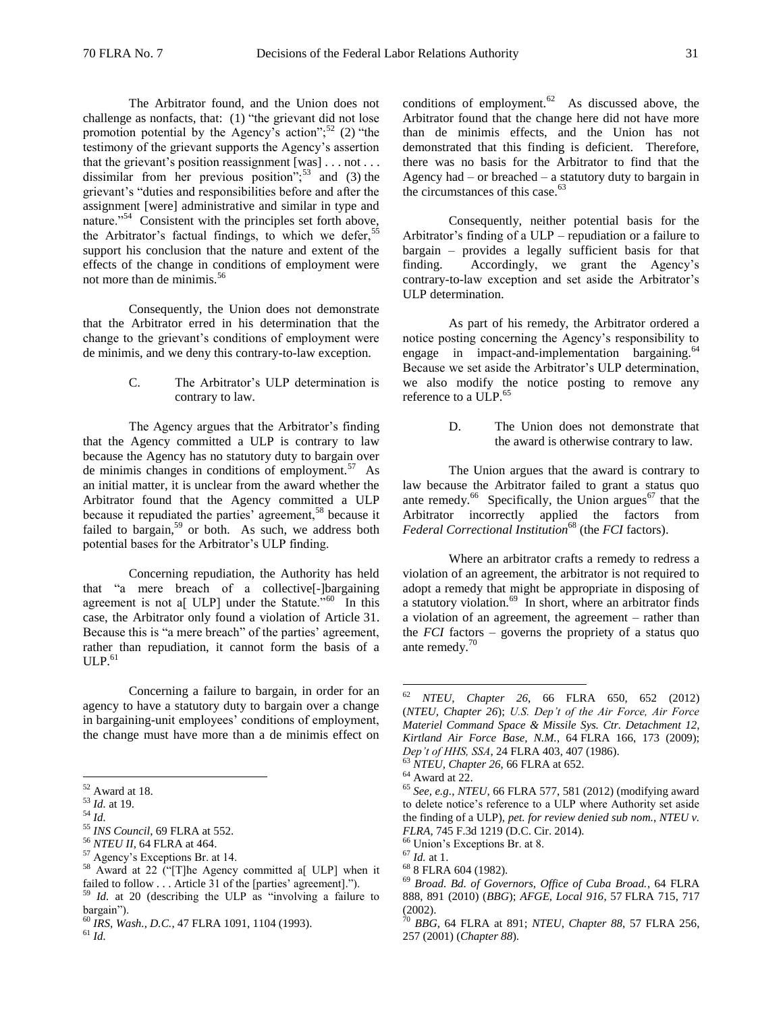The Arbitrator found, and the Union does not challenge as nonfacts, that: (1) "the grievant did not lose promotion potential by the Agency's action";<sup>52</sup> (2) "the testimony of the grievant supports the Agency's assertion that the grievant's position reassignment [was] . . . not . . . dissimilar from her previous position";<sup>53</sup> and (3) the grievant's "duties and responsibilities before and after the assignment [were] administrative and similar in type and nature."<sup>54</sup> Consistent with the principles set forth above, the Arbitrator's factual findings, to which we defer,<sup>55</sup> support his conclusion that the nature and extent of the effects of the change in conditions of employment were not more than de minimis.<sup>56</sup>

Consequently, the Union does not demonstrate that the Arbitrator erred in his determination that the change to the grievant's conditions of employment were de minimis, and we deny this contrary-to-law exception.

> C. The Arbitrator's ULP determination is contrary to law.

The Agency argues that the Arbitrator's finding that the Agency committed a ULP is contrary to law because the Agency has no statutory duty to bargain over de minimis changes in conditions of employment.<sup>57</sup> As an initial matter, it is unclear from the award whether the Arbitrator found that the Agency committed a ULP because it repudiated the parties' agreement,<sup>58</sup> because it failed to bargain,<sup>59</sup> or both. As such, we address both potential bases for the Arbitrator's ULP finding.

Concerning repudiation, the Authority has held that "a mere breach of a collective[-]bargaining agreement is not a[ ULP] under the Statute."<sup>60</sup> In this case, the Arbitrator only found a violation of Article 31. Because this is "a mere breach" of the parties' agreement, rather than repudiation, it cannot form the basis of a  $ULP.<sup>61</sup>$ 

Concerning a failure to bargain, in order for an agency to have a statutory duty to bargain over a change in bargaining-unit employees' conditions of employment, the change must have more than a de minimis effect on

 $\overline{a}$ 

conditions of employment. $62$  As discussed above, the Arbitrator found that the change here did not have more than de minimis effects, and the Union has not demonstrated that this finding is deficient. Therefore, there was no basis for the Arbitrator to find that the Agency had – or breached – a statutory duty to bargain in the circumstances of this case.<sup>63</sup>

Consequently, neither potential basis for the Arbitrator's finding of a ULP – repudiation or a failure to bargain – provides a legally sufficient basis for that finding. Accordingly, we grant the Agency's contrary-to-law exception and set aside the Arbitrator's ULP determination.

As part of his remedy, the Arbitrator ordered a notice posting concerning the Agency's responsibility to engage in impact-and-implementation bargaining. $64$ Because we set aside the Arbitrator's ULP determination, we also modify the notice posting to remove any reference to a ULP.<sup>65</sup>

> D. The Union does not demonstrate that the award is otherwise contrary to law.

The Union argues that the award is contrary to law because the Arbitrator failed to grant a status quo ante remedy.<sup>66</sup> Specifically, the Union argues<sup>67</sup> that the Arbitrator incorrectly applied the factors from *Federal Correctional Institution*<sup>68</sup> (the *FCI* factors).

Where an arbitrator crafts a remedy to redress a violation of an agreement, the arbitrator is not required to adopt a remedy that might be appropriate in disposing of a statutory violation.<sup>69</sup> In short, where an arbitrator finds a violation of an agreement, the agreement – rather than the *FCI* factors – governs the propriety of a status quo ante remedy.<sup>70</sup>

 $52$  Award at 18.

<sup>53</sup> *Id.* at 19.

<sup>54</sup> *Id.*

<sup>55</sup> *INS Council*, 69 FLRA at 552.

<sup>56</sup> *NTEU II*, 64 FLRA at 464.

<sup>57</sup> Agency's Exceptions Br. at 14.

<sup>58</sup> Award at 22 ("[T]he Agency committed a[ ULP] when it failed to follow . . . Article 31 of the [parties' agreement].").

<sup>59</sup> *Id.* at 20 (describing the ULP as "involving a failure to bargain").

<sup>60</sup> *IRS, Wash., D.C.*, 47 FLRA 1091, 1104 (1993).

<sup>62</sup> *NTEU, Chapter 26*, 66 FLRA 650, 652 (2012) (*NTEU, Chapter 26*); *U.S. Dep't of the Air Force, Air Force Materiel Command Space & Missile Sys. Ctr. Detachment 12, Kirtland Air Force Base, N.M.*, 64 FLRA 166, 173 (2009); *Dep't of HHS, SSA*, 24 FLRA 403, 407 (1986).

<sup>63</sup> *NTEU, Chapter 26*, 66 FLRA at 652.

 $^{64}$  Award at 22.

<sup>65</sup> *See, e.g.*, *NTEU*, 66 FLRA 577, 581 (2012) (modifying award to delete notice's reference to a ULP where Authority set aside the finding of a ULP), *pet. for review denied sub nom.*, *NTEU v. FLRA*, 745 F.3d 1219 (D.C. Cir. 2014).

 $66$  Union's Exceptions Br. at 8.

<sup>67</sup> *Id.* at 1.

<sup>68</sup> 8 FLRA 604 (1982).

<sup>69</sup> *Broad. Bd. of Governors, Office of Cuba Broad.*, 64 FLRA 888, 891 (2010) (*BBG*); *AFGE, Local 916*, 57 FLRA 715, 717 (2002).

<sup>70</sup> *BBG*, 64 FLRA at 891; *NTEU, Chapter 88*, 57 FLRA 256, 257 (2001) (*Chapter 88*).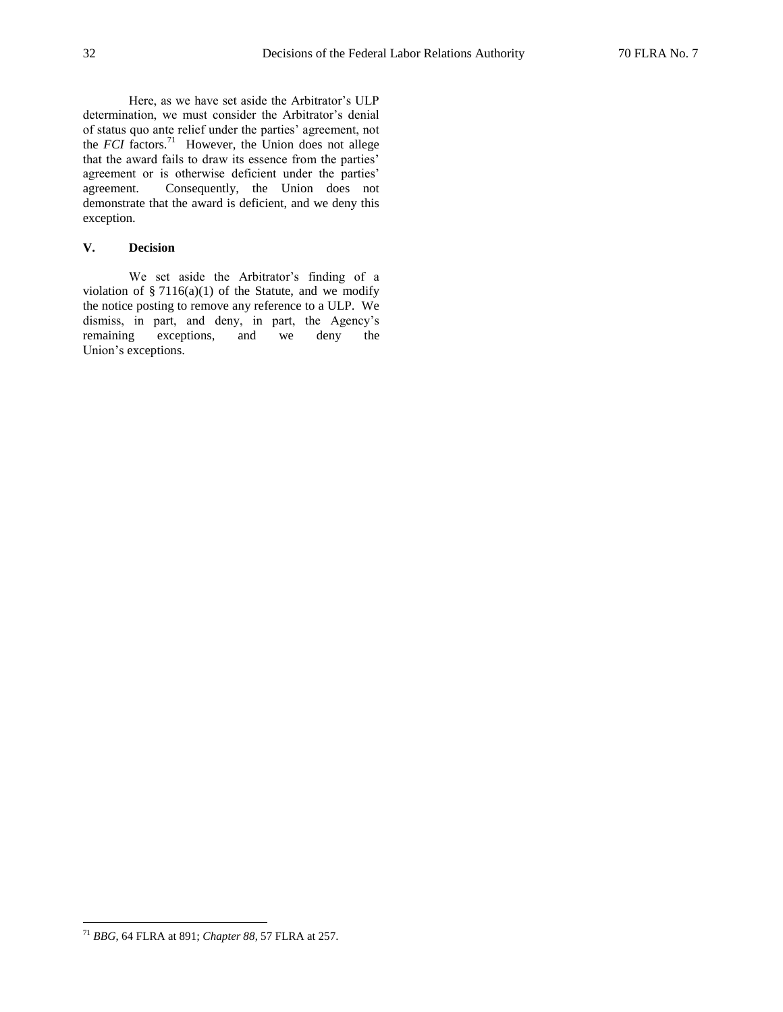Here, as we have set aside the Arbitrator's ULP determination, we must consider the Arbitrator's denial of status quo ante relief under the parties' agreement, not the  $FCI$  factors.<sup>71</sup> However, the Union does not allege that the award fails to draw its essence from the parties' agreement or is otherwise deficient under the parties' agreement. Consequently, the Union does not demonstrate that the award is deficient, and we deny this exception.

# **V. Decision**

We set aside the Arbitrator's finding of a violation of  $\S 7116(a)(1)$  of the Statute, and we modify the notice posting to remove any reference to a ULP. We dismiss, in part, and deny, in part, the Agency's remaining exceptions, and we deny the Union's exceptions.

<sup>71</sup> *BBG*, 64 FLRA at 891; *Chapter 88*, 57 FLRA at 257.